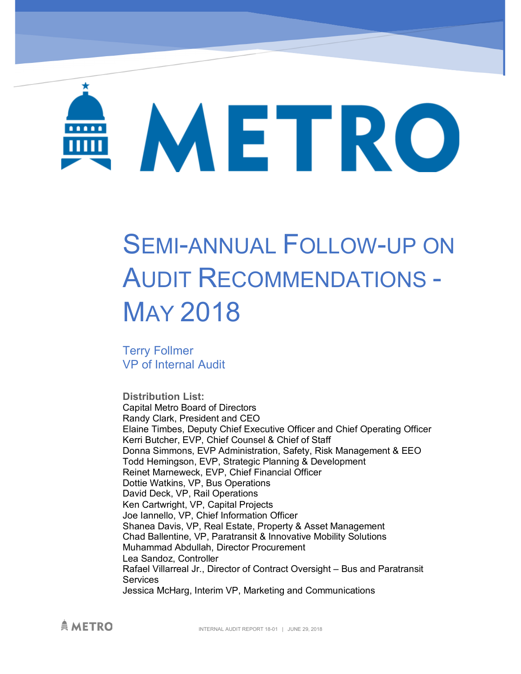# METRO

# SEMI-ANNUAL FOLLOW-UP ON AUDIT RECOMMENDATIONS - MAY 2018

Terry Follmer VP of Internal Audit

**Distribution List:**  Capital Metro Board of Directors Randy Clark, President and CEO Elaine Timbes, Deputy Chief Executive Officer and Chief Operating Officer Kerri Butcher, EVP, Chief Counsel & Chief of Staff Donna Simmons, EVP Administration, Safety, Risk Management & EEO Todd Hemingson, EVP, Strategic Planning & Development Reinet Marneweck, EVP, Chief Financial Officer Dottie Watkins, VP, Bus Operations David Deck, VP, Rail Operations Ken Cartwright, VP, Capital Projects Joe Iannello, VP, Chief Information Officer Shanea Davis, VP, Real Estate, Property & Asset Management Chad Ballentine, VP, Paratransit & Innovative Mobility Solutions Muhammad Abdullah, Director Procurement Lea Sandoz, Controller Rafael Villarreal Jr., Director of Contract Oversight – Bus and Paratransit **Services** Jessica McHarg, Interim VP, Marketing and Communications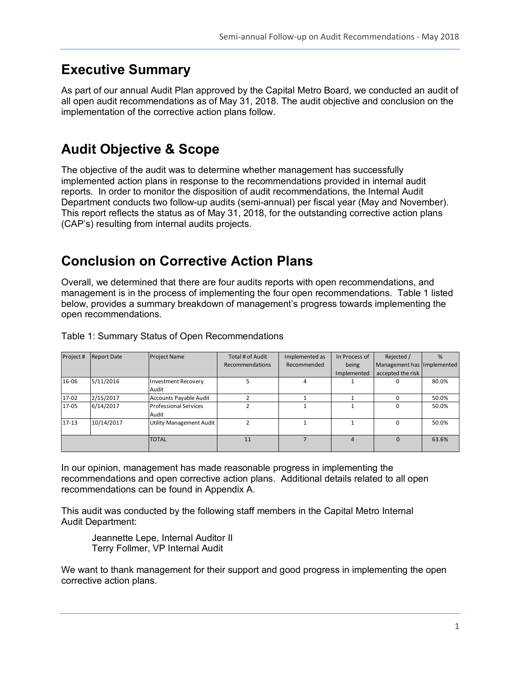# **Executive Summary**

As part of our annual Audit Plan approved by the Capital Metro Board, we conducted an audit of all open audit recommendations as of May 31, 2018. The audit objective and conclusion on the implementation of the corrective action plans follow.

# **Audit Objective & Scope**

The objective of the audit was to determine whether management has successfully implemented action plans in response to the recommendations provided in internal audit reports. In order to monitor the disposition of audit recommendations, the Internal Audit Department conducts two follow-up audits (semi-annual) per fiscal year (May and November). This report reflects the status as of May 31, 2018, for the outstanding corrective action plans (CAP's) resulting from internal audits projects.

# **Conclusion on Corrective Action Plans**

Overall, we determined that there are four audits reports with open recommendations, and management is in the process of implementing the four open recommendations. Table 1 listed below, provides a summary breakdown of management's progress towards implementing the open recommendations.

| Project#  | <b>Report Date</b> | <b>Project Name</b>          | Total # of Audit | Implemented as | In Process of | Rejected /                 | %     |
|-----------|--------------------|------------------------------|------------------|----------------|---------------|----------------------------|-------|
|           |                    |                              | Recommendations  | Recommended    | being         | Management has Implemented |       |
|           |                    |                              |                  |                | Implemented   | accepted the risk          |       |
| 16-06     | 5/11/2016          | <b>Investment Recovery</b>   |                  | 4              |               |                            | 80.0% |
|           |                    | Audit                        |                  |                |               |                            |       |
| 17-02     | 2/15/2017          | Accounts Payable Audit       |                  |                |               |                            | 50.0% |
| 17-05     | 6/14/2017          | <b>Professional Services</b> |                  |                |               |                            | 50.0% |
|           |                    | Audit                        |                  |                |               |                            |       |
| $17 - 13$ | 10/14/2017         | Utility Management Audit     |                  |                |               |                            | 50.0% |
|           |                    |                              |                  |                |               |                            |       |
|           |                    | <b>TOTAL</b>                 | 11               |                | Δ             | 0                          | 63.6% |
|           |                    |                              |                  |                |               |                            |       |

Table 1: Summary Status of Open Recommendations

In our opinion, management has made reasonable progress in implementing the recommendations and open corrective action plans. Additional details related to all open recommendations can be found in Appendix A.

This audit was conducted by the following staff members in the Capital Metro Internal Audit Department:

Jeannette Lepe, Internal Auditor II Terry Follmer, VP Internal Audit

We want to thank management for their support and good progress in implementing the open corrective action plans.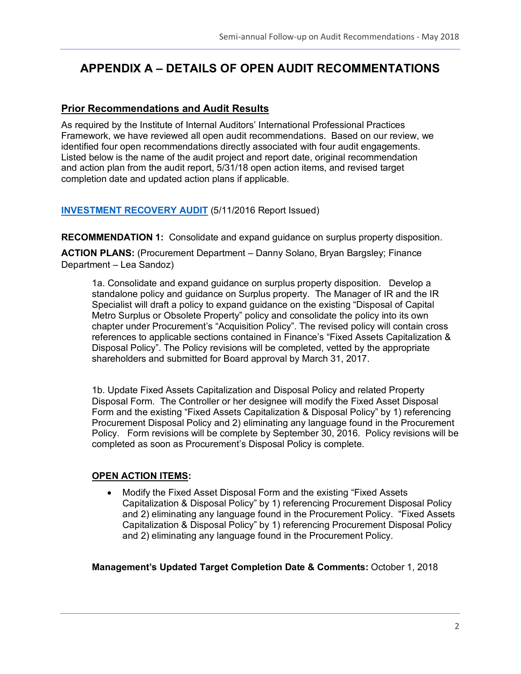### **APPENDIX A – DETAILS OF OPEN AUDIT RECOMMENTATIONS**

#### **Prior Recommendations and Audit Results**

As required by the Institute of Internal Auditors' International Professional Practices Framework, we have reviewed all open audit recommendations. Based on our review, we identified four open recommendations directly associated with four audit engagements. Listed below is the name of the audit project and report date, original recommendation and action plan from the audit report, 5/31/18 open action items, and revised target completion date and updated action plans if applicable.

#### **INVESTMENT RECOVERY AUDIT** (5/11/2016 Report Issued)

**RECOMMENDATION 1:** Consolidate and expand guidance on surplus property disposition.

**ACTION PLANS:** (Procurement Department – Danny Solano, Bryan Bargsley; Finance Department – Lea Sandoz)

1a. Consolidate and expand guidance on surplus property disposition. Develop a standalone policy and guidance on Surplus property. The Manager of IR and the IR Specialist will draft a policy to expand guidance on the existing "Disposal of Capital Metro Surplus or Obsolete Property" policy and consolidate the policy into its own chapter under Procurement's "Acquisition Policy". The revised policy will contain cross references to applicable sections contained in Finance's "Fixed Assets Capitalization & Disposal Policy". The Policy revisions will be completed, vetted by the appropriate shareholders and submitted for Board approval by March 31, 2017.

1b. Update Fixed Assets Capitalization and Disposal Policy and related Property Disposal Form. The Controller or her designee will modify the Fixed Asset Disposal Form and the existing "Fixed Assets Capitalization & Disposal Policy" by 1) referencing Procurement Disposal Policy and 2) eliminating any language found in the Procurement Policy. Form revisions will be complete by September 30, 2016. Policy revisions will be completed as soon as Procurement's Disposal Policy is complete.

#### **OPEN ACTION ITEMS:**

• Modify the Fixed Asset Disposal Form and the existing "Fixed Assets" Capitalization & Disposal Policy" by 1) referencing Procurement Disposal Policy and 2) eliminating any language found in the Procurement Policy. "Fixed Assets Capitalization & Disposal Policy" by 1) referencing Procurement Disposal Policy and 2) eliminating any language found in the Procurement Policy.

**Management's Updated Target Completion Date & Comments:** October 1, 2018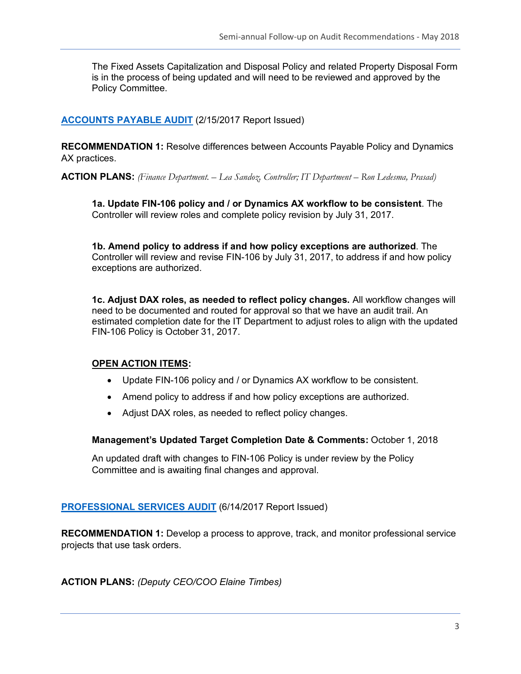The Fixed Assets Capitalization and Disposal Policy and related Property Disposal Form is in the process of being updated and will need to be reviewed and approved by the Policy Committee.

**ACCOUNTS PAYABLE AUDIT** (2/15/2017 Report Issued)

**RECOMMENDATION 1:** Resolve differences between Accounts Payable Policy and Dynamics AX practices.

**ACTION PLANS:** *(Finance Department. – Lea Sandoz, Controller; IT Department – Ron Ledesma, Prasad)*

**1a. Update FIN-106 policy and / or Dynamics AX workflow to be consistent**. The Controller will review roles and complete policy revision by July 31, 2017.

**1b. Amend policy to address if and how policy exceptions are authorized**. The Controller will review and revise FIN-106 by July 31, 2017, to address if and how policy exceptions are authorized.

**1c. Adjust DAX roles, as needed to reflect policy changes.** All workflow changes will need to be documented and routed for approval so that we have an audit trail. An estimated completion date for the IT Department to adjust roles to align with the updated FIN-106 Policy is October 31, 2017.

#### **OPEN ACTION ITEMS:**

- Update FIN-106 policy and / or Dynamics AX workflow to be consistent.
- Amend policy to address if and how policy exceptions are authorized.
- Adjust DAX roles, as needed to reflect policy changes.

**Management's Updated Target Completion Date & Comments:** October 1, 2018

An updated draft with changes to FIN-106 Policy is under review by the Policy Committee and is awaiting final changes and approval.

**PROFESSIONAL SERVICES AUDIT** (6/14/2017 Report Issued)

**RECOMMENDATION 1:** Develop a process to approve, track, and monitor professional service projects that use task orders.

**ACTION PLANS:** *(Deputy CEO/COO Elaine Timbes)*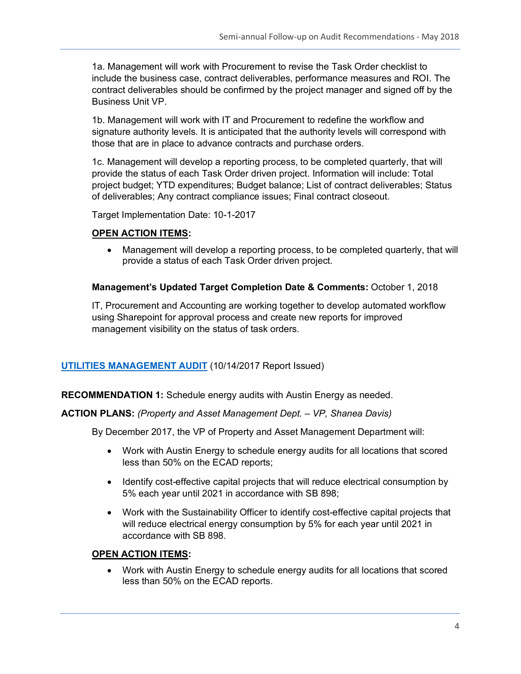1a. Management will work with Procurement to revise the Task Order checklist to include the business case, contract deliverables, performance measures and ROI. The contract deliverables should be confirmed by the project manager and signed off by the Business Unit VP.

1b. Management will work with IT and Procurement to redefine the workflow and signature authority levels. It is anticipated that the authority levels will correspond with those that are in place to advance contracts and purchase orders.

1c. Management will develop a reporting process, to be completed quarterly, that will provide the status of each Task Order driven project. Information will include: Total project budget; YTD expenditures; Budget balance; List of contract deliverables; Status of deliverables; Any contract compliance issues; Final contract closeout.

Target Implementation Date: 10-1-2017

#### **OPEN ACTION ITEMS:**

• Management will develop a reporting process, to be completed quarterly, that will provide a status of each Task Order driven project.

#### **Management's Updated Target Completion Date & Comments:** October 1, 2018

IT, Procurement and Accounting are working together to develop automated workflow using Sharepoint for approval process and create new reports for improved management visibility on the status of task orders.

#### **UTILITIES MANAGEMENT AUDIT** (10/14/2017 Report Issued)

**RECOMMENDATION 1:** Schedule energy audits with Austin Energy as needed.

#### **ACTION PLANS:** *(Property and Asset Management Dept. – VP, Shanea Davis)*

By December 2017, the VP of Property and Asset Management Department will:

- Work with Austin Energy to schedule energy audits for all locations that scored less than 50% on the ECAD reports;
- Identify cost-effective capital projects that will reduce electrical consumption by 5% each year until 2021 in accordance with SB 898;
- Work with the Sustainability Officer to identify cost-effective capital projects that will reduce electrical energy consumption by 5% for each year until 2021 in accordance with SB 898.

#### **OPEN ACTION ITEMS:**

• Work with Austin Energy to schedule energy audits for all locations that scored less than 50% on the ECAD reports.